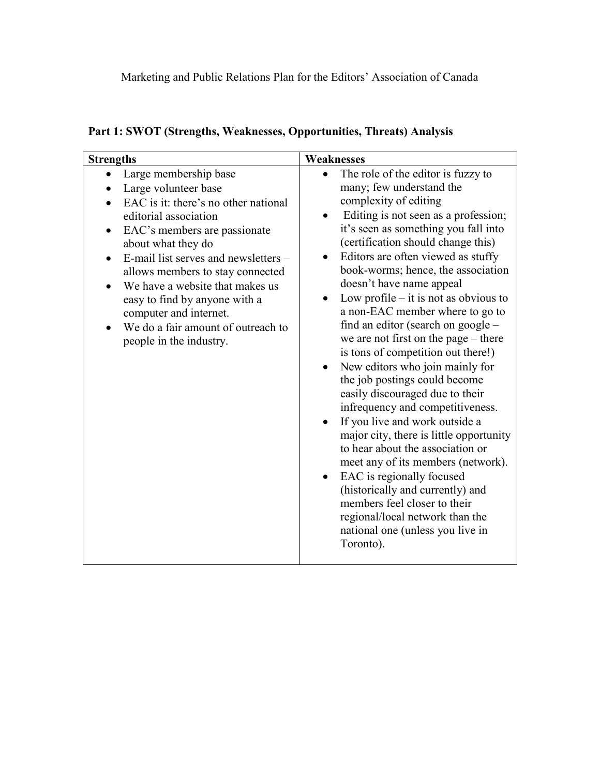| <b>Strengths</b>                                                                                                                                                                                                                                                                                                                                                                                                | Weaknesses                                                                                                                                                                                                                                                                                                                                                                                                                                                                                                                                                                                                                                                                                                                                                                                                                                                                                                                                                                                                     |
|-----------------------------------------------------------------------------------------------------------------------------------------------------------------------------------------------------------------------------------------------------------------------------------------------------------------------------------------------------------------------------------------------------------------|----------------------------------------------------------------------------------------------------------------------------------------------------------------------------------------------------------------------------------------------------------------------------------------------------------------------------------------------------------------------------------------------------------------------------------------------------------------------------------------------------------------------------------------------------------------------------------------------------------------------------------------------------------------------------------------------------------------------------------------------------------------------------------------------------------------------------------------------------------------------------------------------------------------------------------------------------------------------------------------------------------------|
| Large membership base<br>Large volunteer base<br>EAC is it: there's no other national<br>editorial association<br>EAC's members are passionate<br>about what they do<br>E-mail list serves and newsletters -<br>allows members to stay connected<br>We have a website that makes us<br>easy to find by anyone with a<br>computer and internet.<br>We do a fair amount of outreach to<br>people in the industry. | The role of the editor is fuzzy to<br>many; few understand the<br>complexity of editing<br>Editing is not seen as a profession;<br>it's seen as something you fall into<br>(certification should change this)<br>Editors are often viewed as stuffy<br>book-worms; hence, the association<br>doesn't have name appeal<br>Low profile $-$ it is not as obvious to<br>a non-EAC member where to go to<br>find an editor (search on google –<br>we are not first on the page – there<br>is tons of competition out there!)<br>New editors who join mainly for<br>the job postings could become<br>easily discouraged due to their<br>infrequency and competitiveness.<br>If you live and work outside a<br>major city, there is little opportunity<br>to hear about the association or<br>meet any of its members (network).<br>EAC is regionally focused<br>(historically and currently) and<br>members feel closer to their<br>regional/local network than the<br>national one (unless you live in<br>Toronto). |

# **Part 1: SWOT (Strengths, Weaknesses, Opportunities, Threats) Analysis**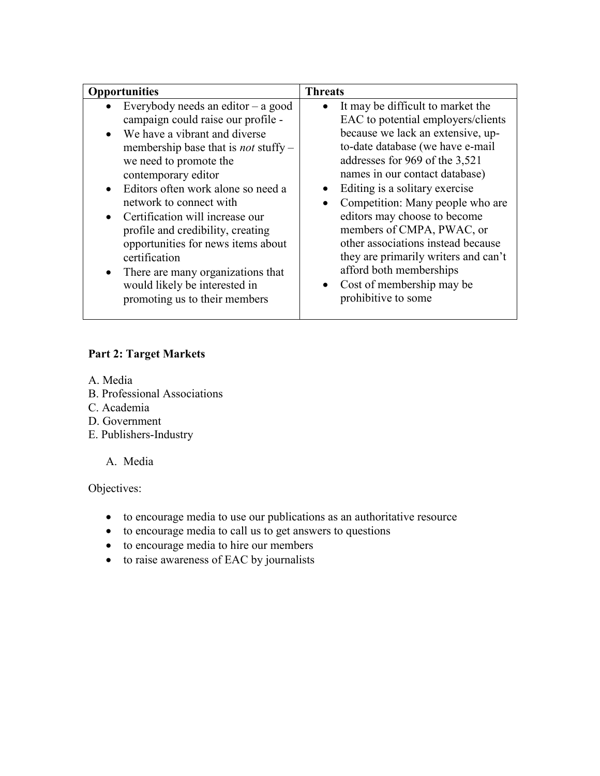| <b>Opportunities</b>                                                                                                                                                                                                                                                                                                                                                                                                                                                                                                                                                   | <b>Threats</b>                                                                                                                                                                                                                                                                                                                                                                                                                                                                                                                    |
|------------------------------------------------------------------------------------------------------------------------------------------------------------------------------------------------------------------------------------------------------------------------------------------------------------------------------------------------------------------------------------------------------------------------------------------------------------------------------------------------------------------------------------------------------------------------|-----------------------------------------------------------------------------------------------------------------------------------------------------------------------------------------------------------------------------------------------------------------------------------------------------------------------------------------------------------------------------------------------------------------------------------------------------------------------------------------------------------------------------------|
| Everybody needs an editor $-$ a good<br>campaign could raise our profile -<br>We have a vibrant and diverse<br>$\bullet$<br>membership base that is <i>not</i> stuffy –<br>we need to promote the<br>contemporary editor<br>Editors often work alone so need a<br>$\bullet$<br>network to connect with<br>Certification will increase our<br>$\bullet$<br>profile and credibility, creating<br>opportunities for news items about<br>certification<br>There are many organizations that<br>$\bullet$<br>would likely be interested in<br>promoting us to their members | It may be difficult to market the<br>EAC to potential employers/clients<br>because we lack an extensive, up-<br>to-date database (we have e-mail<br>addresses for 969 of the 3,521<br>names in our contact database)<br>Editing is a solitary exercise<br>Competition: Many people who are<br>editors may choose to become<br>members of CMPA, PWAC, or<br>other associations instead because<br>they are primarily writers and can't<br>afford both memberships<br>Cost of membership may be<br>$\bullet$<br>prohibitive to some |

#### **Part 2: Target Markets**

- A. Media
- B. Professional Associations
- C. Academia
- D. Government
- E. Publishers-Industry

A. Media

Objectives:

- to encourage media to use our publications as an authoritative resource
- to encourage media to call us to get answers to questions
- to encourage media to hire our members
- to raise awareness of EAC by journalists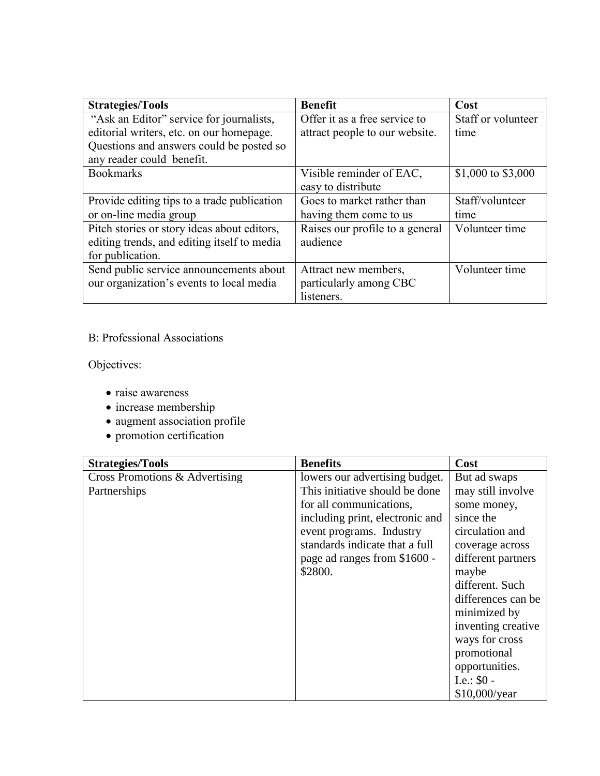| <b>Strategies/Tools</b>                     | <b>Benefit</b>                  | Cost               |
|---------------------------------------------|---------------------------------|--------------------|
| "Ask an Editor" service for journalists,    | Offer it as a free service to   | Staff or volunteer |
| editorial writers, etc. on our homepage.    | attract people to our website.  | time               |
| Questions and answers could be posted so    |                                 |                    |
| any reader could benefit.                   |                                 |                    |
| <b>Bookmarks</b>                            | Visible reminder of EAC,        | \$1,000 to \$3,000 |
|                                             | easy to distribute              |                    |
| Provide editing tips to a trade publication | Goes to market rather than      | Staff/volunteer    |
| or on-line media group                      | having them come to us          | time               |
| Pitch stories or story ideas about editors, | Raises our profile to a general | Volunteer time     |
| editing trends, and editing itself to media | audience                        |                    |
| for publication.                            |                                 |                    |
| Send public service announcements about     | Attract new members,            | Volunteer time     |
| our organization's events to local media    | particularly among CBC          |                    |
|                                             | listeners.                      |                    |

## B: Professional Associations

Objectives:

- raise awareness
- $\bullet$  increase membership
- augment association profile
- promotion certification

| <b>Strategies/Tools</b>        | <b>Benefits</b>                 | Cost               |
|--------------------------------|---------------------------------|--------------------|
| Cross Promotions & Advertising | lowers our advertising budget.  | But ad swaps       |
| Partnerships                   | This initiative should be done  | may still involve  |
|                                | for all communications,         | some money,        |
|                                | including print, electronic and | since the          |
|                                | event programs. Industry        | circulation and    |
|                                | standards indicate that a full  | coverage across    |
|                                | page ad ranges from \$1600 -    | different partners |
|                                | \$2800.                         | maybe              |
|                                |                                 | different. Such    |
|                                |                                 | differences can be |
|                                |                                 | minimized by       |
|                                |                                 | inventing creative |
|                                |                                 | ways for cross     |
|                                |                                 | promotional        |
|                                |                                 | opportunities.     |
|                                |                                 | I.e.: $$0 -$       |
|                                |                                 | \$10,000/year      |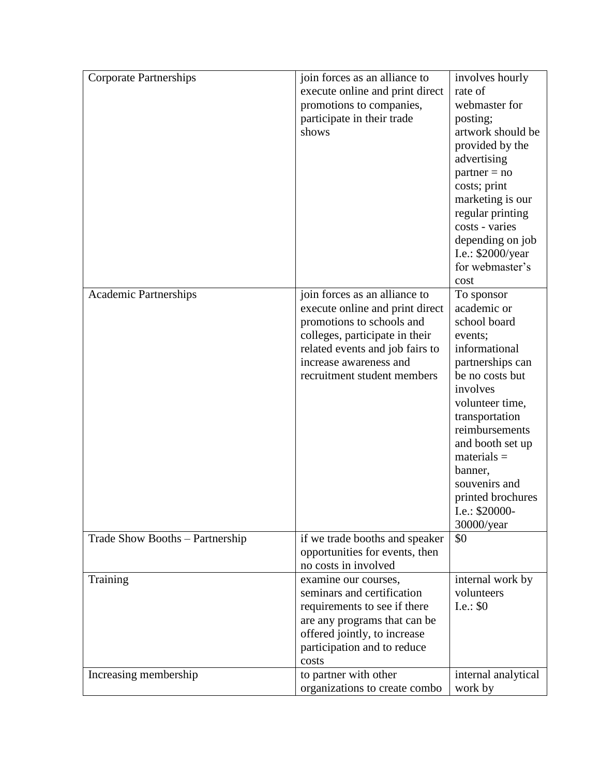| <b>Corporate Partnerships</b>   | join forces as an alliance to   | involves hourly     |
|---------------------------------|---------------------------------|---------------------|
|                                 | execute online and print direct | rate of             |
|                                 | promotions to companies,        | webmaster for       |
|                                 | participate in their trade      | posting;            |
|                                 | shows                           | artwork should be   |
|                                 |                                 | provided by the     |
|                                 |                                 | advertising         |
|                                 |                                 | $partner = no$      |
|                                 |                                 | costs; print        |
|                                 |                                 | marketing is our    |
|                                 |                                 | regular printing    |
|                                 |                                 | costs - varies      |
|                                 |                                 | depending on job    |
|                                 |                                 | I.e.: \$2000/year   |
|                                 |                                 | for webmaster's     |
|                                 |                                 | cost                |
| <b>Academic Partnerships</b>    | join forces as an alliance to   | To sponsor          |
|                                 | execute online and print direct | academic or         |
|                                 | promotions to schools and       | school board        |
|                                 | colleges, participate in their  | events;             |
|                                 | related events and job fairs to | informational       |
|                                 | increase awareness and          | partnerships can    |
|                                 | recruitment student members     | be no costs but     |
|                                 |                                 | involves            |
|                                 |                                 | volunteer time,     |
|                                 |                                 | transportation      |
|                                 |                                 | reimbursements      |
|                                 |                                 | and booth set up    |
|                                 |                                 | $materials =$       |
|                                 |                                 | banner,             |
|                                 |                                 | souvenirs and       |
|                                 |                                 | printed brochures   |
|                                 |                                 | I.e.: \$20000-      |
|                                 |                                 | 30000/year          |
| Trade Show Booths - Partnership | if we trade booths and speaker  | \$0                 |
|                                 | opportunities for events, then  |                     |
|                                 | no costs in involved            |                     |
| Training                        | examine our courses,            | internal work by    |
|                                 | seminars and certification      | volunteers          |
|                                 | requirements to see if there    | I.e.: $$0$          |
|                                 | are any programs that can be    |                     |
|                                 | offered jointly, to increase    |                     |
|                                 | participation and to reduce     |                     |
|                                 | costs                           |                     |
| Increasing membership           | to partner with other           | internal analytical |
|                                 | organizations to create combo   | work by             |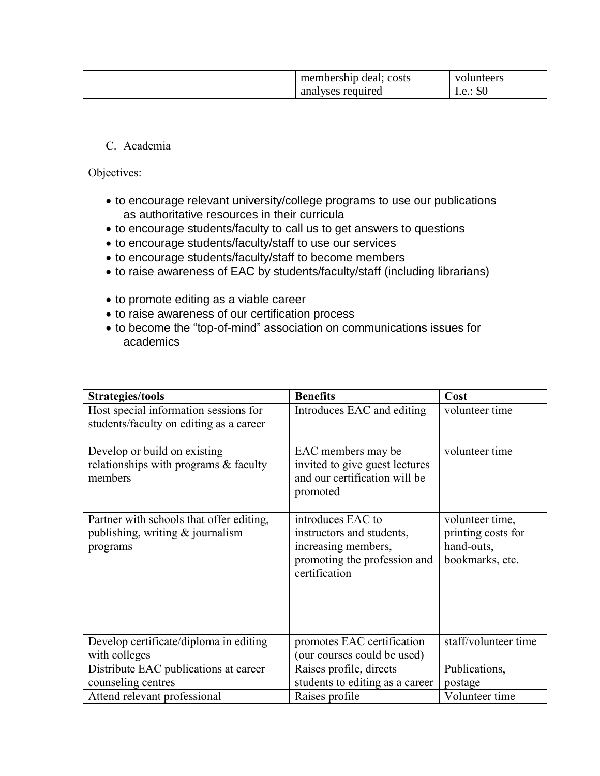| membership deal; costs | volunteers                    |
|------------------------|-------------------------------|
| analyses required      | $\mathbf{\Omega}$<br>1.e.: 30 |

C. Academia

Objectives:

- to encourage relevant university/college programs to use our publications as authoritative resources in their curricula
- to encourage students/faculty to call us to get answers to questions
- to encourage students/faculty/staff to use our services
- to encourage students/faculty/staff to become members
- to raise awareness of EAC by students/faculty/staff (including librarians)
- to promote editing as a viable career
- to raise awareness of our certification process
- to become the "top-of-mind" association on communications issues for academics

| <b>Strategies/tools</b>                                                                    | <b>Benefits</b>                                                                                                        | Cost                                                                   |
|--------------------------------------------------------------------------------------------|------------------------------------------------------------------------------------------------------------------------|------------------------------------------------------------------------|
| Host special information sessions for<br>students/faculty on editing as a career           | Introduces EAC and editing                                                                                             | volunteer time                                                         |
| Develop or build on existing<br>relationships with programs & faculty<br>members           | EAC members may be<br>invited to give guest lectures<br>and our certification will be<br>promoted                      | volunteer time                                                         |
| Partner with schools that offer editing,<br>publishing, writing $&$ journalism<br>programs | introduces EAC to<br>instructors and students,<br>increasing members,<br>promoting the profession and<br>certification | volunteer time,<br>printing costs for<br>hand-outs,<br>bookmarks, etc. |
| Develop certificate/diploma in editing<br>with colleges                                    | promotes EAC certification<br>(our courses could be used)                                                              | staff/volunteer time                                                   |
| Distribute EAC publications at career<br>counseling centres                                | Raises profile, directs<br>students to editing as a career                                                             | Publications,<br>postage                                               |
| Attend relevant professional                                                               | Raises profile                                                                                                         | Volunteer time                                                         |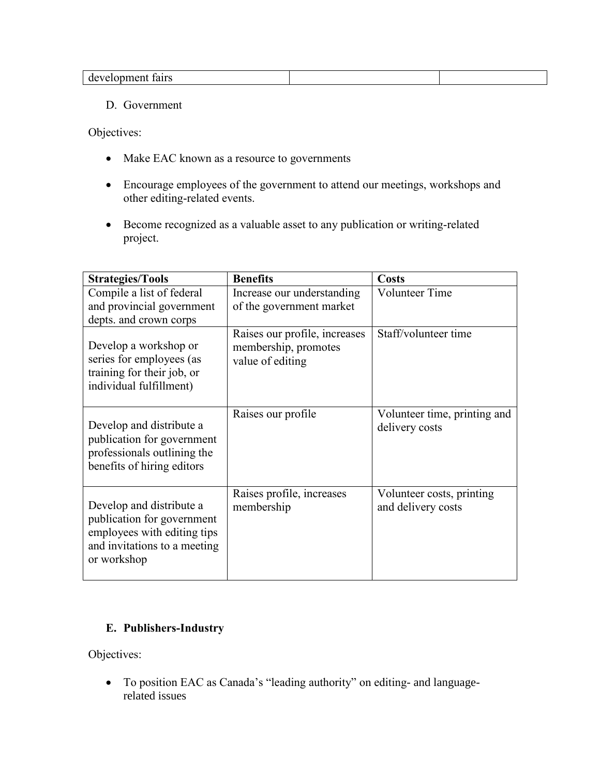| $+ \alpha + \alpha$<br><br>тапѕ<br>' با∐ب.<br>uc<br>.<br>'UU U<br>----- |  |
|-------------------------------------------------------------------------|--|
|                                                                         |  |

#### D. Government

Objectives:

- Make EAC known as a resource to governments
- Encourage employees of the government to attend our meetings, workshops and other editing-related events.
- Become recognized as a valuable asset to any publication or writing-related project.

| <b>Strategies/Tools</b>                                                                                                              | <b>Benefits</b>                                                           | <b>Costs</b>                                    |
|--------------------------------------------------------------------------------------------------------------------------------------|---------------------------------------------------------------------------|-------------------------------------------------|
| Compile a list of federal<br>and provincial government<br>depts. and crown corps                                                     | Increase our understanding<br>of the government market                    | <b>Volunteer Time</b>                           |
| Develop a workshop or<br>series for employees (as<br>training for their job, or<br>individual fulfillment)                           | Raises our profile, increases<br>membership, promotes<br>value of editing | Staff/volunteer time                            |
| Develop and distribute a<br>publication for government<br>professionals outlining the<br>benefits of hiring editors                  | Raises our profile                                                        | Volunteer time, printing and<br>delivery costs  |
| Develop and distribute a<br>publication for government<br>employees with editing tips<br>and invitations to a meeting<br>or workshop | Raises profile, increases<br>membership                                   | Volunteer costs, printing<br>and delivery costs |

### **E. Publishers-Industry**

Objectives:

 To position EAC as Canada's "leading authority" on editing- and languagerelated issues